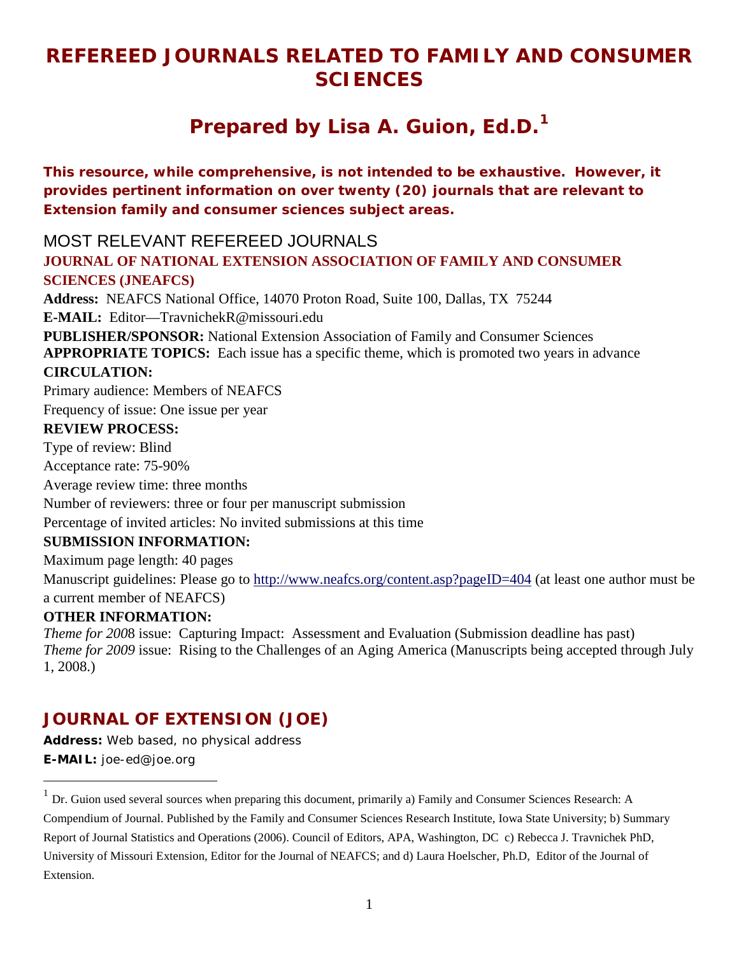# **REFEREED JOURNALS RELATED TO FAMILY AND CONSUMER SCIENCES**

# **Prepared by Lisa A. Guion, Ed.D.[1](#page-0-0)**

**This resource, while comprehensive, is not intended to be exhaustive. However, it provides pertinent information on over twenty (20) journals that are relevant to Extension family and consumer sciences subject areas.** 

MOST RELEVANT REFEREED JOURNALS

### **JOURNAL OF NATIONAL EXTENSION ASSOCIATION OF FAMILY AND CONSUMER SCIENCES (JNEAFCS)**

**Address:** NEAFCS National Office, 14070 Proton Road, Suite 100, Dallas, TX 75244

**E-MAIL:** Editor—TravnichekR@missouri.edu

**PUBLISHER/SPONSOR:** National Extension Association of Family and Consumer Sciences **APPROPRIATE TOPICS:** Each issue has a specific theme, which is promoted two years in advance **CIRCULATION:**

Primary audience: Members of NEAFCS

Frequency of issue: One issue per year

### **REVIEW PROCESS:**

Type of review: Blind

Acceptance rate: 75-90%

Average review time: three months

Number of reviewers: three or four per manuscript submission

Percentage of invited articles: No invited submissions at this time

### **SUBMISSION INFORMATION:**

Maximum page length: 40 pages

Manuscript guidelines: Please go to <http://www.neafcs.org/content.asp?pageID=404> (at least one author must be a current member of NEAFCS)

### **OTHER INFORMATION:**

*Theme for 200*8 issue: Capturing Impact: Assessment and Evaluation (Submission deadline has past) *Theme for 2009* issue: Rising to the Challenges of an Aging America (Manuscripts being accepted through July 1, 2008.)

# *JOURNAL OF EXTENSION* **(***JOE***)**

**Address:** Web based, no physical address **E-MAIL:** joe-ed@joe.org

<span id="page-0-0"></span> $<sup>1</sup>$  Dr. Guion used several sources when preparing this document, primarily a) Family and Consumer Sciences Research: A</sup> Compendium of Journal. Published by the Family and Consumer Sciences Research Institute, Iowa State University; b) Summary Report of Journal Statistics and Operations (2006). Council of Editors, APA, Washington, DC c) Rebecca J. Travnichek PhD, University of Missouri Extension, Editor for the Journal of NEAFCS; and d) Laura Hoelscher, Ph.D, Editor of the Journal of Extension.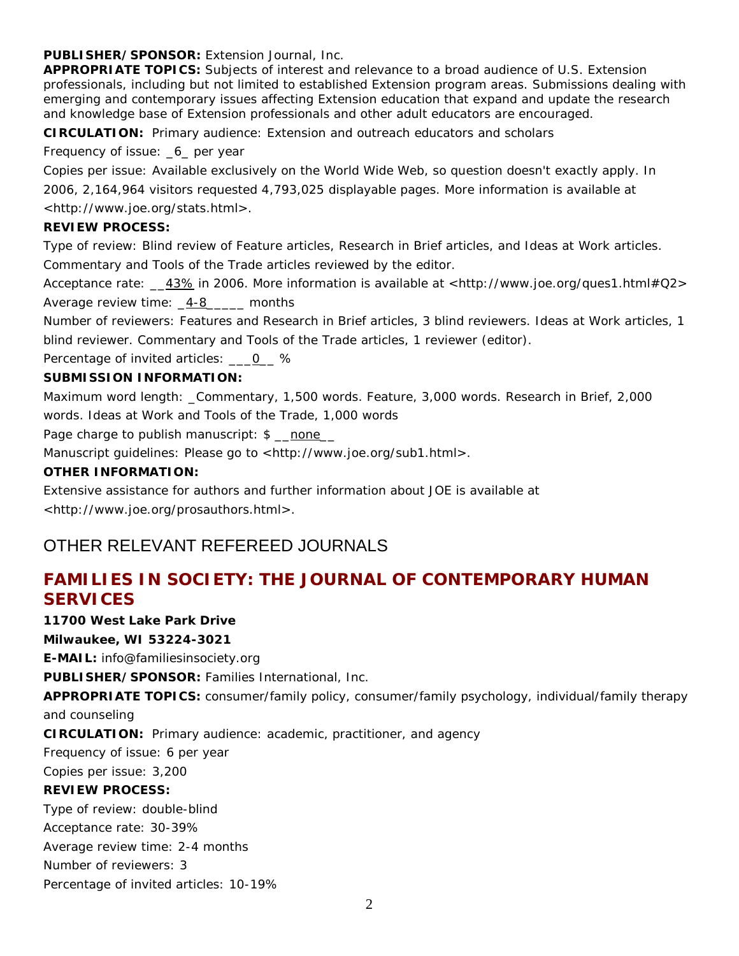#### **PUBLISHER/SPONSOR:** Extension Journal, Inc.

**APPROPRIATE TOPICS:** Subjects of interest and relevance to a broad audience of U.S. Extension professionals, including but not limited to established Extension program areas. Submissions dealing with emerging and contemporary issues affecting Extension education that expand and update the research and knowledge base of Extension professionals and other adult educators are encouraged.

**CIRCULATION:** Primary audience: Extension and outreach educators and scholars

Frequency of issue: \_6\_ per year

Copies per issue: Available exclusively on the World Wide Web, so question doesn't exactly apply. In 2006, 2,164,964 visitors requested 4,793,025 displayable pages. More information is available at <http://www.joe.org/stats.html>.

#### **REVIEW PROCESS:**

Type of review: Blind review of Feature articles, Research in Brief articles, and Ideas at Work articles. Commentary and Tools of the Trade articles reviewed by the editor.

Acceptance rate: \_\_43% in 2006. More information is available at [<http://www.joe.org/ques1.html#Q2>](http://www.joe.org/ques1.html#Q2) Average review time: 4-8 months

Number of reviewers: Features and Research in Brief articles, 3 blind reviewers. Ideas at Work articles, 1 blind reviewer. Commentary and Tools of the Trade articles, 1 reviewer (editor).

Percentage of invited articles: \_\_\_0\_ %

### **SUBMISSION INFORMATION:**

Maximum word length: \_Commentary, 1,500 words. Feature, 3,000 words. Research in Brief, 2,000 words. Ideas at Work and Tools of the Trade, 1,000 words

Page charge to publish manuscript: \$ none

Manuscript quidelines: Please go to <http://www.joe.org/sub1.html>.

### **OTHER INFORMATION:**

Extensive assistance for authors and further information about *JOE* is available at <http://www.joe.org/prosauthors.html>.

# OTHER RELEVANT REFEREED JOURNALS

# **FAMILIES IN SOCIETY: THE JOURNAL OF CONTEMPORARY HUMAN SERVICES**

**11700 West Lake Park Drive**

**Milwaukee, WI 53224-3021**

**E-MAIL:** info@familiesinsociety.org

**PUBLISHER/SPONSOR:** Families International, Inc.

**APPROPRIATE TOPICS:** consumer/family policy, consumer/family psychology, individual/family therapy

and counseling

**CIRCULATION:** Primary audience: academic, practitioner, and agency

Frequency of issue: 6 per year

Copies per issue: 3,200

### **REVIEW PROCESS:**

Type of review: double-blind Acceptance rate: 30-39% Average review time: 2-4 months

Number of reviewers: 3

Percentage of invited articles: 10-19%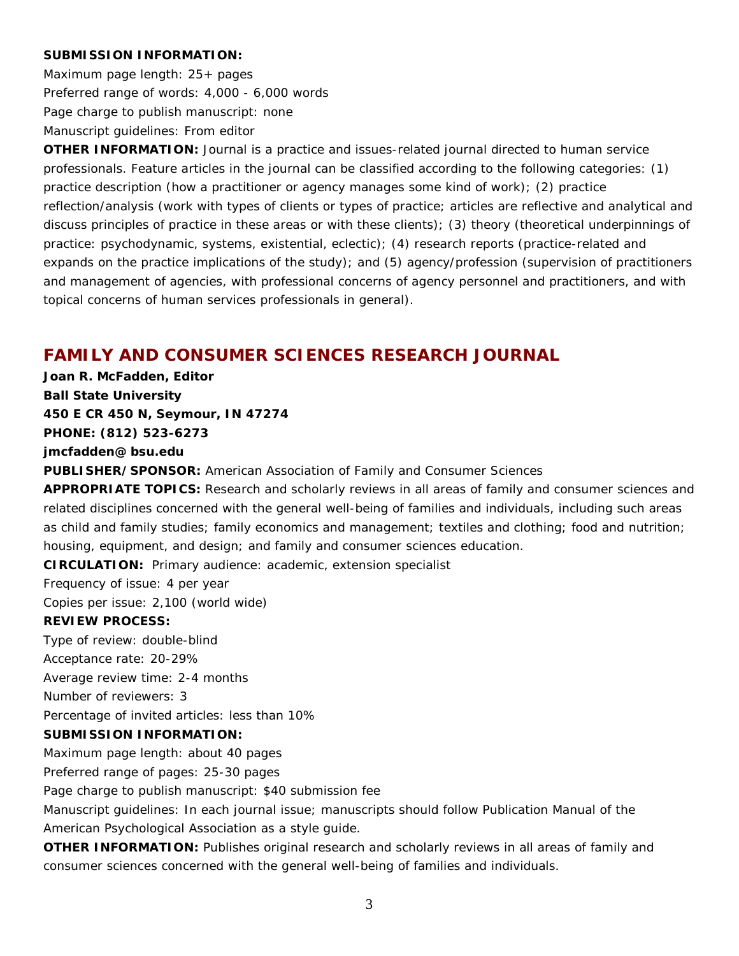#### **SUBMISSION INFORMATION:**

Maximum page length: 25+ pages Preferred range of words: 4,000 - 6,000 words Page charge to publish manuscript: none Manuscript guidelines: From editor

**OTHER INFORMATION:** Journal is a practice and issues-related journal directed to human service professionals. Feature articles in the journal can be classified according to the following categories: (1) practice description (how a practitioner or agency manages some kind of work); (2) practice reflection/analysis (work with types of clients or types of practice; articles are reflective and analytical and discuss principles of practice in these areas or with these clients); (3) theory (theoretical underpinnings of practice: psychodynamic, systems, existential, eclectic); (4) research reports (practice-related and expands on the practice implications of the study); and (5) agency/profession (supervision of practitioners and management of agencies, with professional concerns of agency personnel and practitioners, and with topical concerns of human services professionals in general).

# **FAMILY AND CONSUMER SCIENCES RESEARCH JOURNAL**

**Joan R. McFadden, Editor Ball State University 450 E CR 450 N, Seymour, IN 47274 PHONE: (812) 523-6273 jmcfadden@ bsu.edu PUBLISHER/SPONSOR:** American Association of Family and Consumer Sciences **APPROPRIATE TOPICS:** Research and scholarly reviews in all areas of family and consumer sciences and related disciplines concerned with the general well-being of families and individuals, including such areas as child and family studies; family economics and management; textiles and clothing; food and nutrition; housing, equipment, and design; and family and consumer sciences education. **CIRCULATION:** Primary audience: academic, extension specialist Frequency of issue: 4 per year Copies per issue: 2,100 (world wide) **REVIEW PROCESS:** Type of review: double-blind Acceptance rate: 20-29% Average review time: 2-4 months Number of reviewers: 3 Percentage of invited articles: less than 10% **SUBMISSION INFORMATION:** Maximum page length: about 40 pages Preferred range of pages: 25-30 pages Page charge to publish manuscript: \$40 submission fee Manuscript guidelines: In each journal issue; manuscripts should follow *Publication Manual of the American Psychological Association* as a style guide. **OTHER INFORMATION:** Publishes original research and scholarly reviews in all areas of family and

consumer sciences concerned with the general well-being of families and individuals.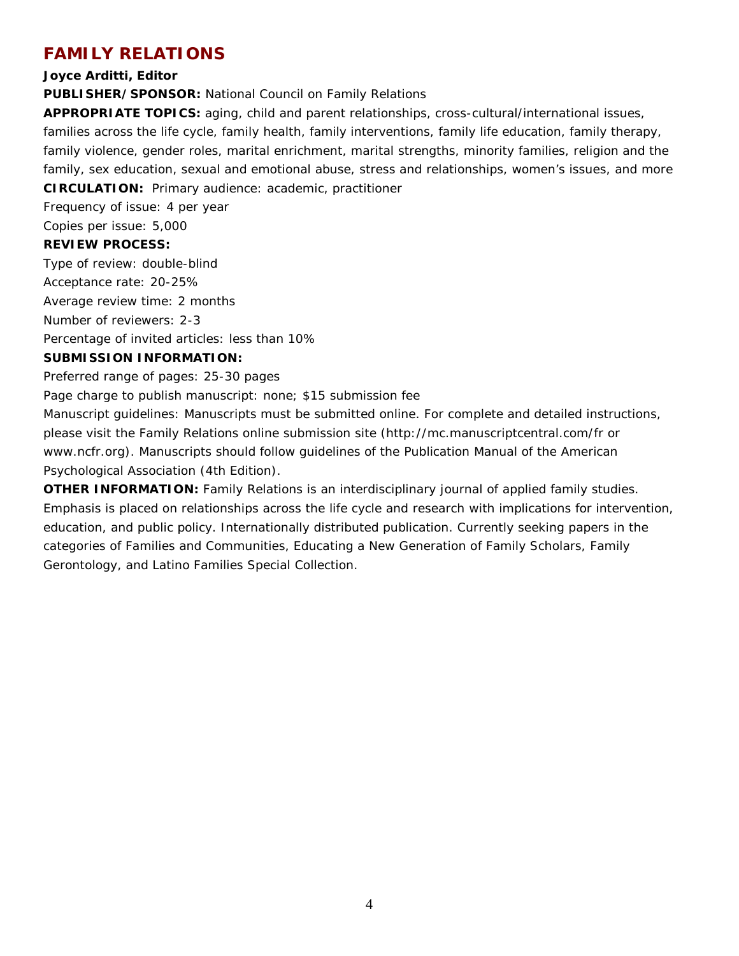# **FAMILY RELATIONS**

#### **Joyce Arditti, Editor**

**PUBLISHER/SPONSOR:** National Council on Family Relations

**APPROPRIATE TOPICS:** aging, child and parent relationships, cross-cultural/international issues, families across the life cycle, family health, family interventions, family life education, family therapy, family violence, gender roles, marital enrichment, marital strengths, minority families, religion and the family, sex education, sexual and emotional abuse, stress and relationships, women's issues, and more **CIRCULATION:** Primary audience: academic, practitioner

Frequency of issue: 4 per year

Copies per issue: 5,000

#### **REVIEW PROCESS:**

Type of review: double-blind Acceptance rate: 20-25% Average review time: 2 months Number of reviewers: 2-3 Percentage of invited articles: less than 10%

### **SUBMISSION INFORMATION:**

Preferred range of pages: 25-30 pages

Page charge to publish manuscript: none; \$15 submission fee

Manuscript guidelines: Manuscripts must be submitted online. For complete and detailed instructions, please visit the Family Relations online submission site (http://mc.manuscriptcentral.com/fr or www.ncfr.org). Manuscripts should follow guidelines of the *Publication Manual of the American Psychological Association (4th Edition).*

**OTHER INFORMATION:** Family Relations is an interdisciplinary journal of applied family studies. Emphasis is placed on relationships across the life cycle and research with implications for intervention, education, and public policy. Internationally distributed publication. Currently seeking papers in the categories of Families and Communities, Educating a New Generation of Family Scholars, Family Gerontology, and Latino Families Special Collection.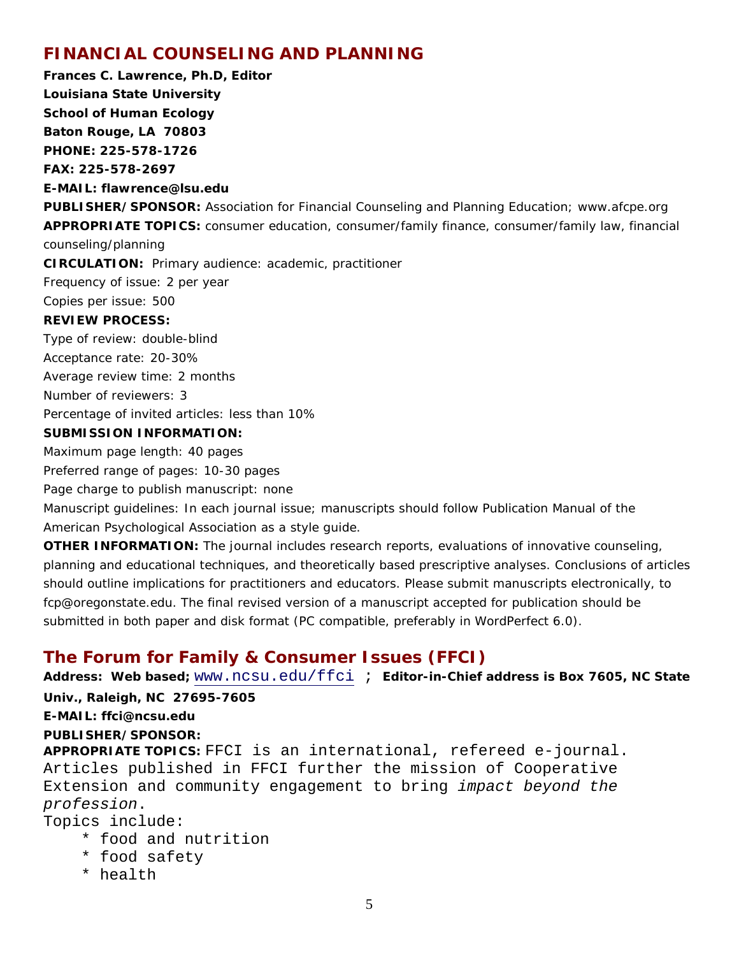# **FINANCIAL COUNSELING AND PLANNING**

**Frances C. Lawrence, Ph.D, Editor Louisiana State University School of Human Ecology Baton Rouge, LA 70803 PHONE: 225-578-1726 FAX: 225-578-2697 E-MAIL: flawrence@lsu.edu PUBLISHER/SPONSOR:** Association for Financial Counseling and Planning Education; www.afcpe.org **APPROPRIATE TOPICS:** consumer education, consumer/family finance, consumer/family law, financial counseling/planning **CIRCULATION:** Primary audience: academic, practitioner Frequency of issue: 2 per year Copies per issue: 500 **REVIEW PROCESS:** Type of review: double-blind Acceptance rate: 20-30% Average review time: 2 months Number of reviewers: 3 Percentage of invited articles: less than 10% **SUBMISSION INFORMATION:** Maximum page length: 40 pages Preferred range of pages: 10-30 pages

Page charge to publish manuscript: none

Manuscript guidelines: In each journal issue; manuscripts should follow *Publication Manual of the American Psychological Association* as a style guide.

**OTHER INFORMATION:** The journal includes research reports, evaluations of innovative counseling, planning and educational techniques, and theoretically based prescriptive analyses. Conclusions of articles should outline implications for practitioners and educators. Please submit manuscripts electronically, to fcp@oregonstate.edu. The final revised version of a manuscript accepted for publication should be submitted in both paper and disk format (PC compatible, preferably in WordPerfect 6.0).

# **The Forum for Family & Consumer Issues (FFCI)**

Address: Web based; [www.ncsu.edu/ffci](http://www.ncsu.edu/ffci) ; Editor-in-Chief address is Box 7605, NC State **Univ., Raleigh, NC 27695-7605 E-MAIL: ffci@ncsu.edu PUBLISHER/SPONSOR: APPROPRIATE TOPICS:** FFCI is an international, refereed e-journal. Articles published in FFCI further the mission of Cooperative Extension and community engagement to bring *impact beyond the profession*. Topics include:

- \* food and nutrition
- \* food safety
- \* health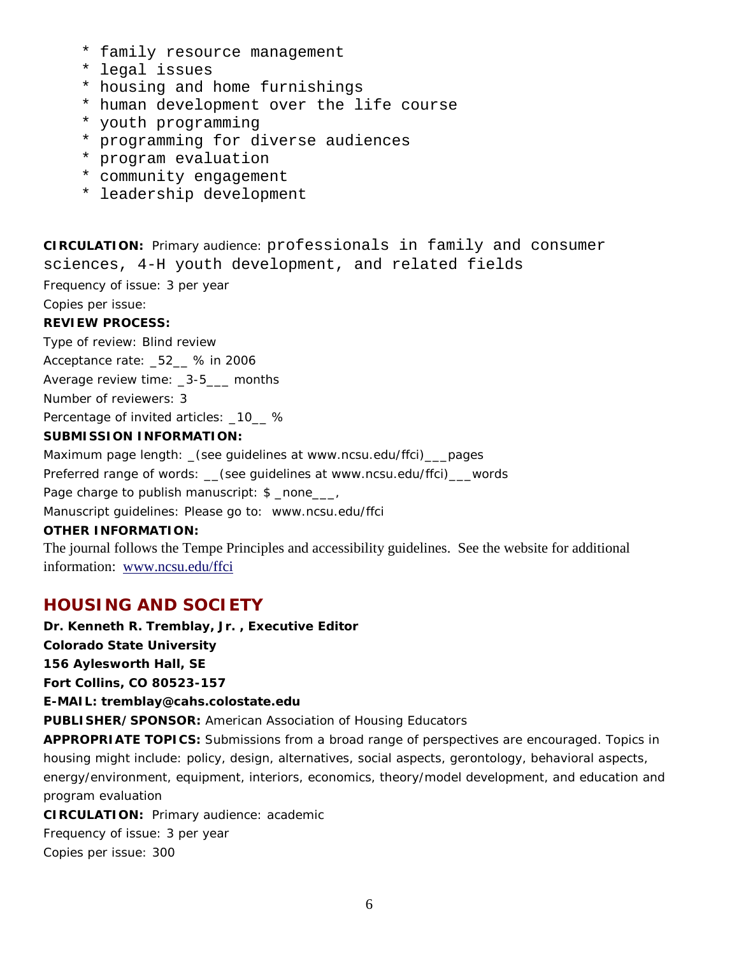- \* family resource management
- \* legal issues
- \* housing and home furnishings
- \* human development over the life course
- \* youth programming
- \* programming for diverse audiences
- \* program evaluation
- \* community engagement
- \* leadership development

**CIRCULATION:** Primary audience: professionals in family and consumer sciences, 4-H youth development, and related fields

Frequency of issue: 3 per year

Copies per issue:

### **REVIEW PROCESS:**

Type of review: Blind review

Acceptance rate: 52 % in 2006

Average review time: \_3-5\_\_\_ months

Number of reviewers: 3

Percentage of invited articles: \_10\_ %

### **SUBMISSION INFORMATION:**

Maximum page length: \_(see guidelines at www.ncsu.edu/ffci)\_\_\_pages

Preferred range of words: (see guidelines at www.ncsu.edu/ffci) words

Page charge to publish manuscript: \$ \_none \_\_\_,

Manuscript guidelines: Please go to: www.ncsu.edu/ffci

### **OTHER INFORMATION:**

The journal follows the Tempe Principles and accessibility guidelines. See the website for additional information: [www.ncsu.edu/ffci](http://www.ncsu.edu/ffci)

# **HOUSING AND SOCIETY**

**Dr. Kenneth R. Tremblay, Jr. , Executive Editor Colorado State University 156 Aylesworth Hall, SE Fort Collins, CO 80523-157 E-MAIL: tremblay@cahs.colostate.edu PUBLISHER/SPONSOR:** American Association of Housing Educators **APPROPRIATE TOPICS:** Submissions from a broad range of perspectives are encouraged. Topics in housing might include: policy, design, alternatives, social aspects, gerontology, behavioral aspects, energy/environment, equipment, interiors, economics, theory/model development, and education and program evaluation **CIRCULATION:** Primary audience: academic Frequency of issue: 3 per year

Copies per issue: 300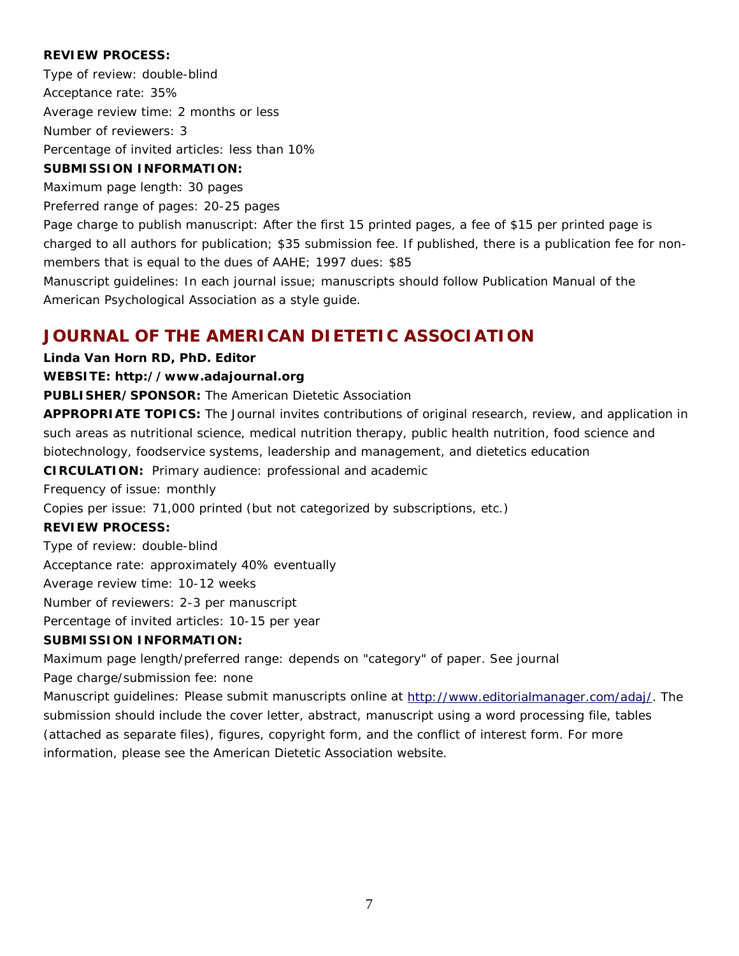#### **REVIEW PROCESS:**

Type of review: double-blind Acceptance rate: 35% Average review time: 2 months or less Number of reviewers: 3 Percentage of invited articles: less than 10%

#### **SUBMISSION INFORMATION:**

Maximum page length: 30 pages

Preferred range of pages: 20-25 pages

Page charge to publish manuscript: After the first 15 printed pages, a fee of \$15 per printed page is charged to all authors for publication; \$35 submission fee. If published, there is a publication fee for nonmembers that is equal to the dues of AAHE; 1997 dues: \$85

Manuscript guidelines: In each journal issue; manuscripts should follow *Publication Manual of the American Psychological Association* as a style guide.

### **JOURNAL OF THE AMERICAN DIETETIC ASSOCIATION**

### **Linda Van Horn RD, PhD. Editor**

#### **WEBSITE: http://www.adajournal.org**

**PUBLISHER/SPONSOR:** The American Dietetic Association

**APPROPRIATE TOPICS:** The Journal invites contributions of original research, review, and application in such areas as nutritional science, medical nutrition therapy, public health nutrition, food science and biotechnology, foodservice systems, leadership and management, and dietetics education **CIRCULATION:** Primary audience: professional and academic

Frequency of issue: monthly

Copies per issue: 71,000 printed (but not categorized by subscriptions, etc.)

#### **REVIEW PROCESS:**

Type of review: double-blind

Acceptance rate: approximately 40% eventually

Average review time: 10-12 weeks

Number of reviewers: 2-3 per manuscript

Percentage of invited articles: 10-15 per year

### **SUBMISSION INFORMATION:**

Maximum page length/preferred range: depends on "category" of paper. See journal

Page charge/submission fee: none

Manuscript guidelines: Please submit manuscripts online at [http://www.editorialmanager.com/adaj/.](http://www.editorialmanager.com/adaj/) The submission should include the cover letter, abstract, manuscript using a word processing file, tables (attached as separate files), figures, copyright form, and the conflict of interest form. For more information, please see the American Dietetic Association website.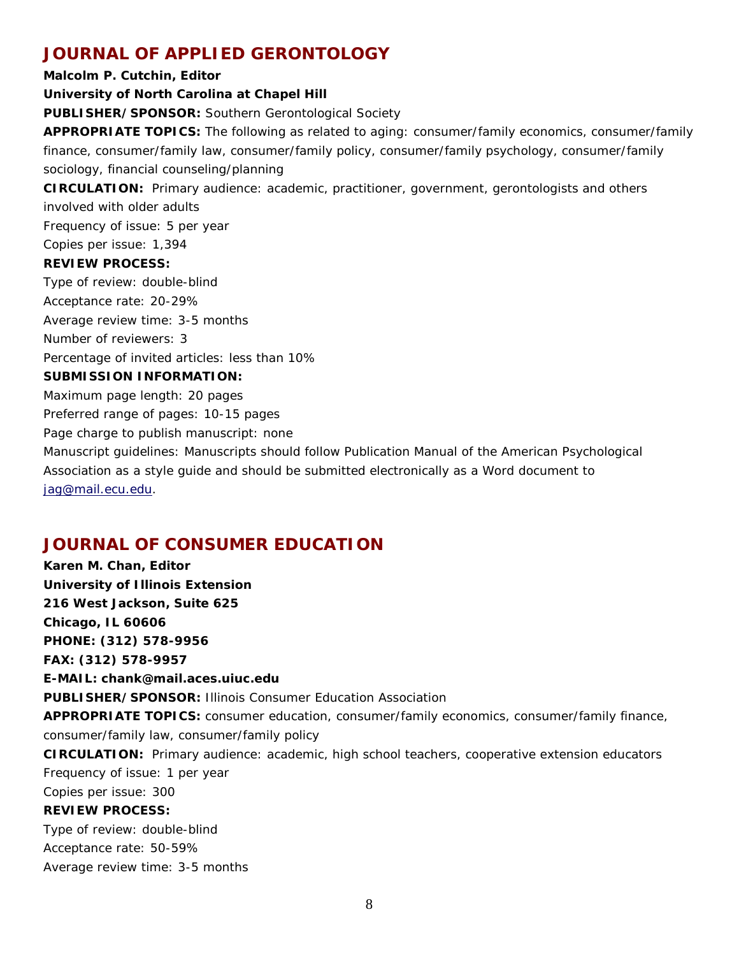# **JOURNAL OF APPLIED GERONTOLOGY**

**Malcolm P. Cutchin, Editor**

### **University of North Carolina at Chapel Hill**

**PUBLISHER/SPONSOR:** Southern Gerontological Society

**APPROPRIATE TOPICS:** The following as related to aging: consumer/family economics, consumer/family finance, consumer/family law, consumer/family policy, consumer/family psychology, consumer/family sociology, financial counseling/planning

**CIRCULATION:** Primary audience: academic, practitioner, government, gerontologists and others involved with older adults

Frequency of issue: 5 per year

Copies per issue: 1,394

#### **REVIEW PROCESS:**

Type of review: double-blind Acceptance rate: 20-29% Average review time: 3-5 months Number of reviewers: 3 Percentage of invited articles: less than 10% **SUBMISSION INFORMATION:** Maximum page length: 20 pages Preferred range of pages: 10-15 pages Page charge to publish manuscript: none Manuscript guidelines: Manuscripts should follow *Publication Manual of the American Psychological Association* as a style guide and should be submitted electronically as a Word document to [jag@mail.ecu.edu.](mailto:jag@mail.ecu.edu)

# **JOURNAL OF CONSUMER EDUCATION**

**Karen M. Chan, Editor University of Illinois Extension 216 West Jackson, Suite 625 Chicago, IL 60606 PHONE: (312) 578-9956 FAX: (312) 578-9957 E-MAIL: chank@mail.aces.uiuc.edu PUBLISHER/SPONSOR:** Illinois Consumer Education Association **APPROPRIATE TOPICS:** consumer education, consumer/family economics, consumer/family finance, consumer/family law, consumer/family policy **CIRCULATION:** Primary audience: academic, high school teachers, cooperative extension educators Frequency of issue: 1 per year Copies per issue: 300 **REVIEW PROCESS:** Type of review: double-blind Acceptance rate: 50-59% Average review time: 3-5 months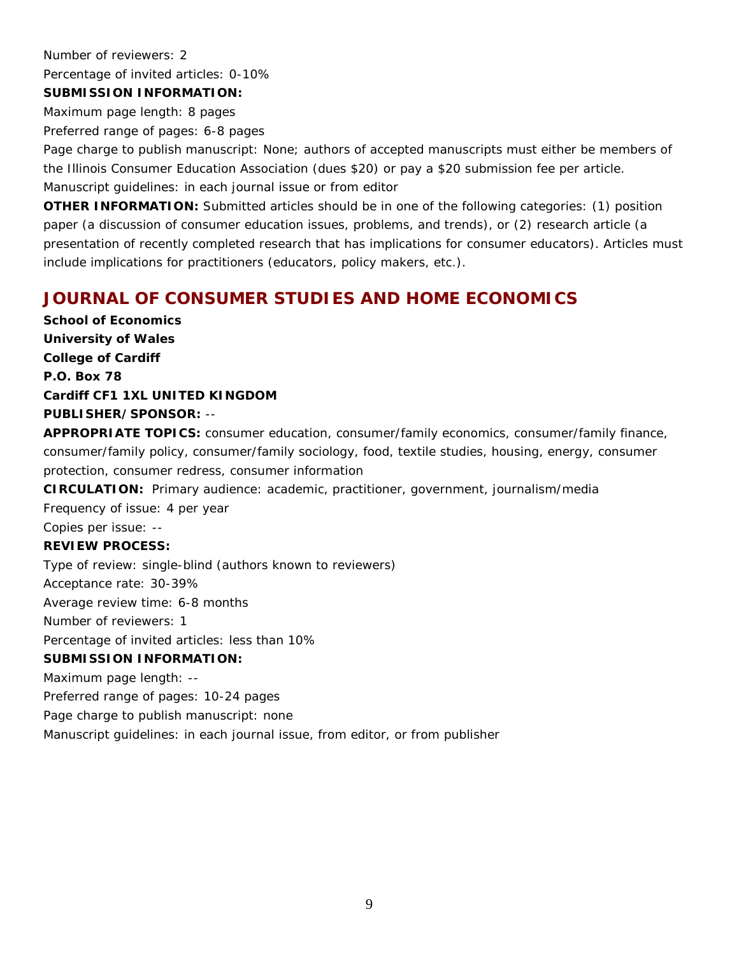Number of reviewers: 2

Percentage of invited articles: 0-10%

#### **SUBMISSION INFORMATION:**

Maximum page length: 8 pages

Preferred range of pages: 6-8 pages

Page charge to publish manuscript: None; authors of accepted manuscripts must either be members of the Illinois Consumer Education Association (dues \$20) or pay a \$20 submission fee per article. Manuscript guidelines: in each journal issue or from editor

**OTHER INFORMATION:** Submitted articles should be in one of the following categories: (1) position paper (a discussion of consumer education issues, problems, and trends), or (2) research article (a presentation of recently completed research that has implications for consumer educators). Articles must include implications for practitioners (educators, policy makers, etc.).

# **JOURNAL OF CONSUMER STUDIES AND HOME ECONOMICS**

**School of Economics University of Wales College of Cardiff P.O. Box 78 Cardiff CF1 1XL UNITED KINGDOM PUBLISHER/SPONSOR:** --

**APPROPRIATE TOPICS:** consumer education, consumer/family economics, consumer/family finance, consumer/family policy, consumer/family sociology, food, textile studies, housing, energy, consumer protection, consumer redress, consumer information

**CIRCULATION:** Primary audience: academic, practitioner, government, journalism/media

Frequency of issue: 4 per year

Copies per issue: --

### **REVIEW PROCESS:**

Type of review: single-blind (authors known to reviewers)

Acceptance rate: 30-39%

Average review time: 6-8 months

Number of reviewers: 1

Percentage of invited articles: less than 10%

#### **SUBMISSION INFORMATION:**

Maximum page length: --

Preferred range of pages: 10-24 pages

Page charge to publish manuscript: none

Manuscript guidelines: in each journal issue, from editor, or from publisher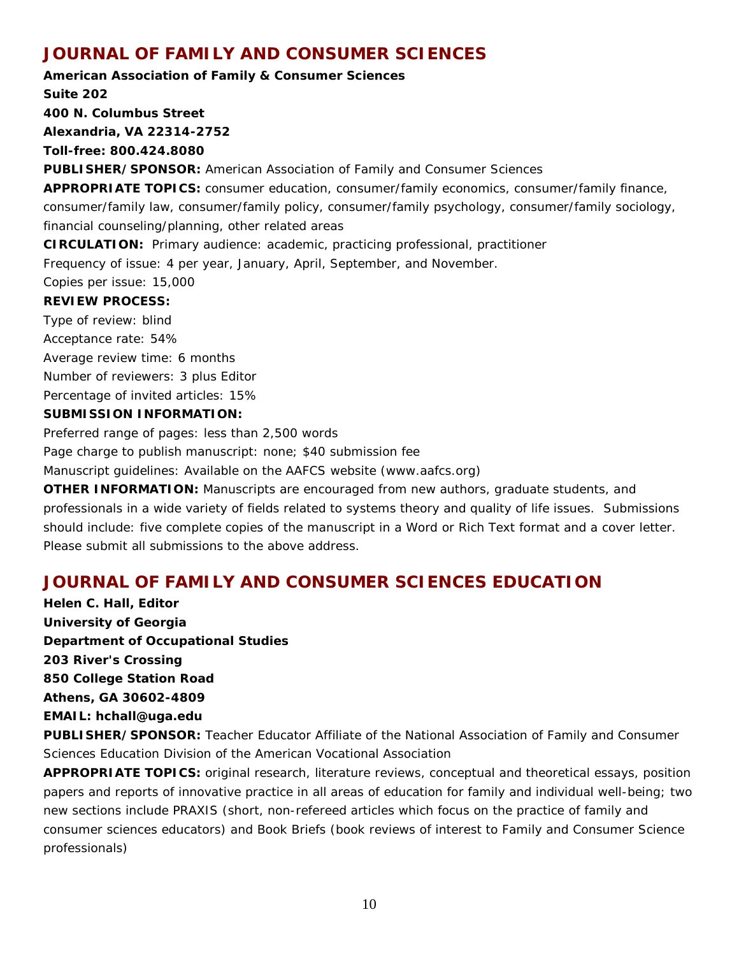# **JOURNAL OF FAMILY AND CONSUMER SCIENCES**

**American Association of Family & Consumer Sciences Suite 202 400 N. Columbus Street Alexandria, VA 22314-2752 Toll-free: 800.424.8080 PUBLISHER/SPONSOR:** American Association of Family and Consumer Sciences **APPROPRIATE TOPICS:** consumer education, consumer/family economics, consumer/family finance, consumer/family law, consumer/family policy, consumer/family psychology, consumer/family sociology, financial counseling/planning, other related areas **CIRCULATION:** Primary audience: academic, practicing professional, practitioner Frequency of issue: 4 per year, January, April, September, and November. Copies per issue: 15,000 **REVIEW PROCESS:** Type of review: blind Acceptance rate: 54% Average review time: 6 months Number of reviewers: 3 plus Editor Percentage of invited articles: 15% **SUBMISSION INFORMATION:** Preferred range of pages: less than 2,500 words Page charge to publish manuscript: none; \$40 submission fee Manuscript guidelines: Available on the AAFCS website (www.aafcs.org) **OTHER INFORMATION:** Manuscripts are encouraged from new authors, graduate students, and

professionals in a wide variety of fields related to systems theory and quality of life issues. Submissions should include: five complete copies of the manuscript in a Word or Rich Text format and a cover letter. Please submit all submissions to the above address.

# **JOURNAL OF FAMILY AND CONSUMER SCIENCES EDUCATION**

**Helen C. Hall, Editor University of Georgia Department of Occupational Studies 203 River's Crossing 850 College Station Road Athens, GA 30602-4809 EMAIL: hchall@uga.edu**

**PUBLISHER/SPONSOR:** Teacher Educator Affiliate of the National Association of Family and Consumer Sciences Education Division of the American Vocational Association

**APPROPRIATE TOPICS:** original research, literature reviews, conceptual and theoretical essays, position papers and reports of innovative practice in all areas of education for family and individual well-being; two new sections include PRAXIS (short, non-refereed articles which focus on the practice of family and consumer sciences educators) and Book Briefs (book reviews of interest to Family and Consumer Science professionals)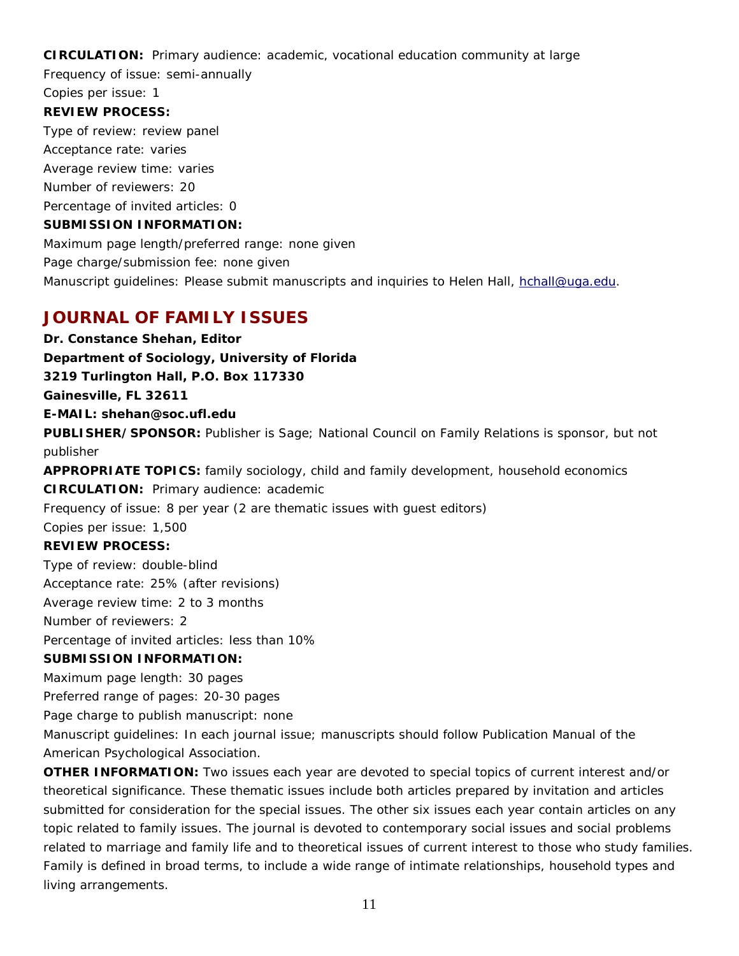**CIRCULATION:** Primary audience: academic, vocational education community at large

Frequency of issue: semi-annually

#### Copies per issue: 1 **REVIEW PROCESS:**

Type of review: review panel Acceptance rate: varies Average review time: varies Number of reviewers: 20 Percentage of invited articles: 0

### **SUBMISSION INFORMATION:**

Maximum page length/preferred range: none given Page charge/submission fee: none given Manuscript guidelines: Please submit manuscripts and inquiries to Helen Hall, [hchall@uga.edu.](mailto:hchall@uga.edu)

# **JOURNAL OF FAMILY ISSUES**

**Dr. Constance Shehan, Editor Department of Sociology, University of Florida 3219 Turlington Hall, P.O. Box 117330 Gainesville, FL 32611 E-MAIL: shehan@soc.ufl.edu PUBLISHER/SPONSOR:** Publisher is Sage; National Council on Family Relations is sponsor, but not publisher **APPROPRIATE TOPICS:** family sociology, child and family development, household economics **CIRCULATION:** Primary audience: academic Frequency of issue: 8 per year (2 are thematic issues with guest editors) Copies per issue: 1,500 **REVIEW PROCESS:**  Type of review: double-blind Acceptance rate: 25% (after revisions) Average review time: 2 to 3 months Number of reviewers: 2 Percentage of invited articles: less than 10% **SUBMISSION INFORMATION:** Maximum page length: 30 pages Preferred range of pages: 20-30 pages Page charge to publish manuscript: none Manuscript guidelines: In each journal issue; manuscripts should follow *Publication Manual of the American Psychological Association*. **OTHER INFORMATION:** Two issues each year are devoted to special topics of current interest and/or

theoretical significance. These thematic issues include both articles prepared by invitation and articles submitted for consideration for the special issues. The other six issues each year contain articles on any topic related to family issues. The journal is devoted to contemporary social issues and social problems related to marriage and family life and to theoretical issues of current interest to those who study families. Family is defined in broad terms, to include a wide range of intimate relationships, household types and living arrangements.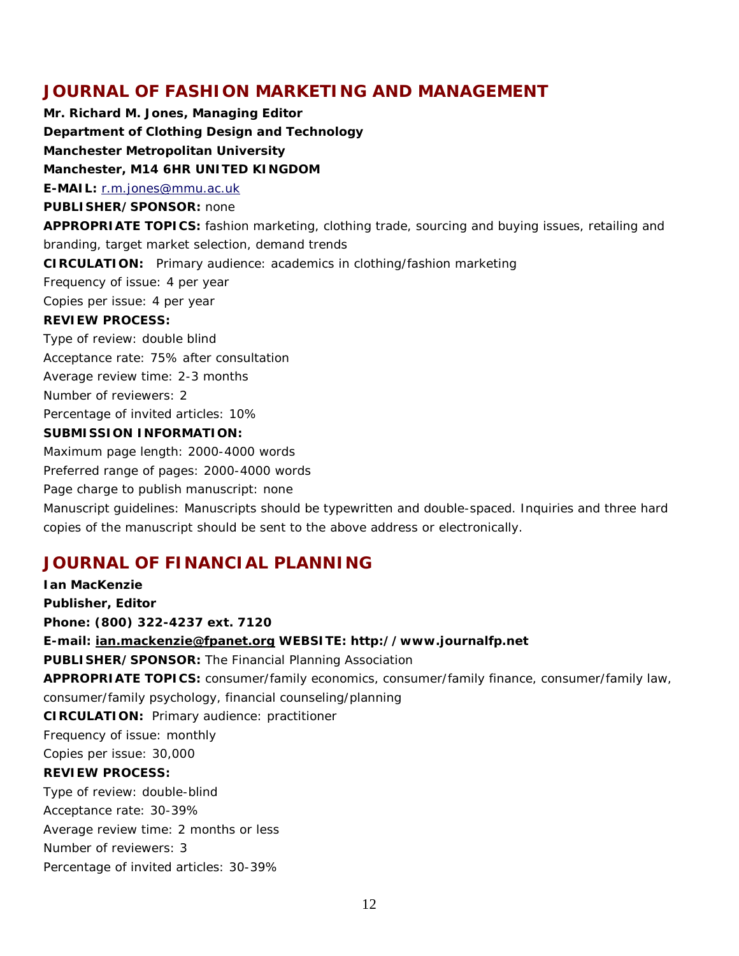# **JOURNAL OF FASHION MARKETING AND MANAGEMENT**

**Mr. Richard M. Jones, Managing Editor Department of Clothing Design and Technology Manchester Metropolitan University Manchester, M14 6HR UNITED KINGDOM E-MAIL:** r.m.jone[s@mmu.ac.uk](mailto:G.TROMANS@mmu.uc.uk) **PUBLISHER/SPONSOR:** none **APPROPRIATE TOPICS:** fashion marketing, clothing trade, sourcing and buying issues, retailing and branding, target market selection, demand trends **CIRCULATION:** Primary audience: academics in clothing/fashion marketing Frequency of issue: 4 per year Copies per issue: 4 per year **REVIEW PROCESS:** Type of review: double blind Acceptance rate: 75% after consultation Average review time: 2-3 months Number of reviewers: 2 Percentage of invited articles: 10% **SUBMISSION INFORMATION:** Maximum page length: 2000-4000 words Preferred range of pages: 2000-4000 words

Page charge to publish manuscript: none

Manuscript guidelines: Manuscripts should be typewritten and double-spaced. Inquiries and three hard copies of the manuscript should be sent to the above address or electronically.

### **JOURNAL OF FINANCIAL PLANNING**

**Ian MacKenzie** *Publisher, Editor* **Phone: (800) 322-4237 ext. 7120 E-mail: [ian.mackenzie@fpanet.org](mailto:ian.mackenzie@fpanet.org) WEBSITE: http://www.journalfp.net PUBLISHER/SPONSOR:** The Financial Planning Association **APPROPRIATE TOPICS:** consumer/family economics, consumer/family finance, consumer/family law, consumer/family psychology, financial counseling/planning **CIRCULATION:** Primary audience: practitioner Frequency of issue: monthly Copies per issue: 30,000 **REVIEW PROCESS:** Type of review: double-blind Acceptance rate: 30-39% Average review time: 2 months or less Number of reviewers: 3 Percentage of invited articles: 30-39%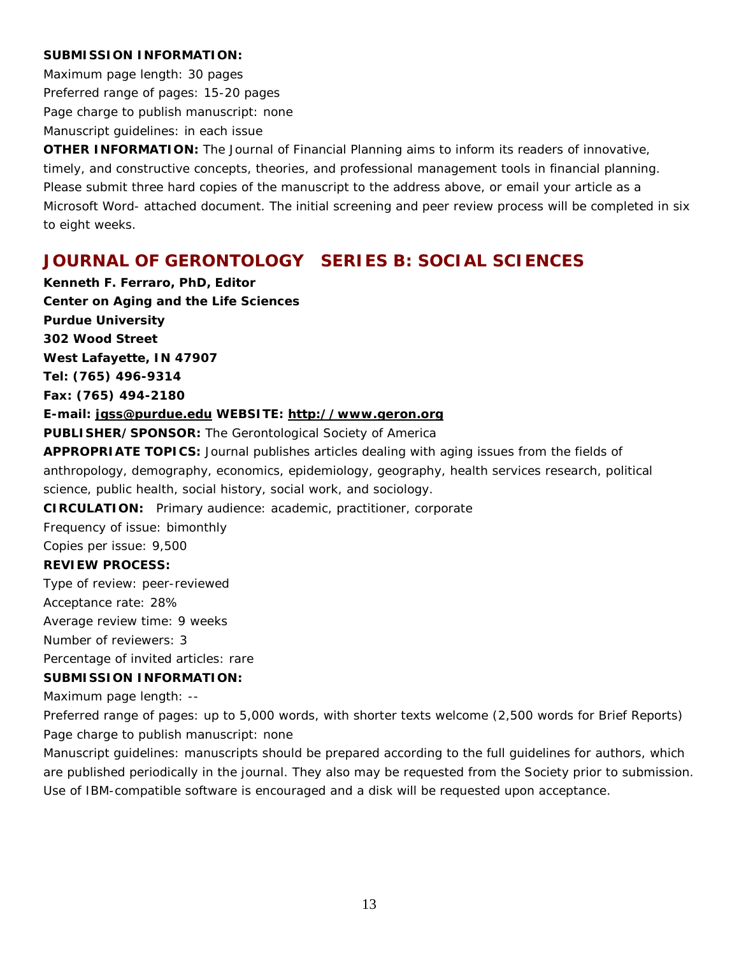#### **SUBMISSION INFORMATION:**

Maximum page length: 30 pages Preferred range of pages: 15-20 pages Page charge to publish manuscript: none Manuscript guidelines: in each issue

**OTHER INFORMATION:** The Journal of Financial Planning aims to inform its readers of innovative, timely, and constructive concepts, theories, and professional management tools in financial planning. Please submit three hard copies of the manuscript to the address above, or email your article as a Microsoft Word- attached document. The initial screening and peer review process will be completed in six to eight weeks.

# **JOURNAL OF GERONTOLOGY SERIES B: SOCIAL SCIENCES**

**Kenneth F. Ferraro, PhD, Editor Center on Aging and the Life Sciences Purdue University 302 Wood Street West Lafayette, IN 47907 Tel: (765) 496-9314**

**Fax: (765) 494-2180**

#### **E-mail: [jgss@purdue.edu](mailto:jgss@purdue.edu) WEBSITE: [http://www.geron.org](http://www.geron.org/)**

**PUBLISHER/SPONSOR:** The Gerontological Society of America

**APPROPRIATE TOPICS:** Journal publishes articles dealing with aging issues from the fields of anthropology, demography, economics, epidemiology, geography, health services research, political science, public health, social history, social work, and sociology.

**CIRCULATION:** Primary audience: academic, practitioner, corporate

Frequency of issue: bimonthly

Copies per issue: 9,500

### **REVIEW PROCESS:**

Type of review: peer-reviewed

Acceptance rate: 28%

Average review time: 9 weeks

Number of reviewers: 3

Percentage of invited articles: rare

### **SUBMISSION INFORMATION:**

Maximum page length: --

Preferred range of pages: up to 5,000 words, with shorter texts welcome (2,500 words for Brief Reports) Page charge to publish manuscript: none

Manuscript guidelines: manuscripts should be prepared according to the full guidelines for authors, which are published periodically in the journal. They also may be requested from the Society prior to submission. Use of IBM-compatible software is encouraged and a disk will be requested upon acceptance.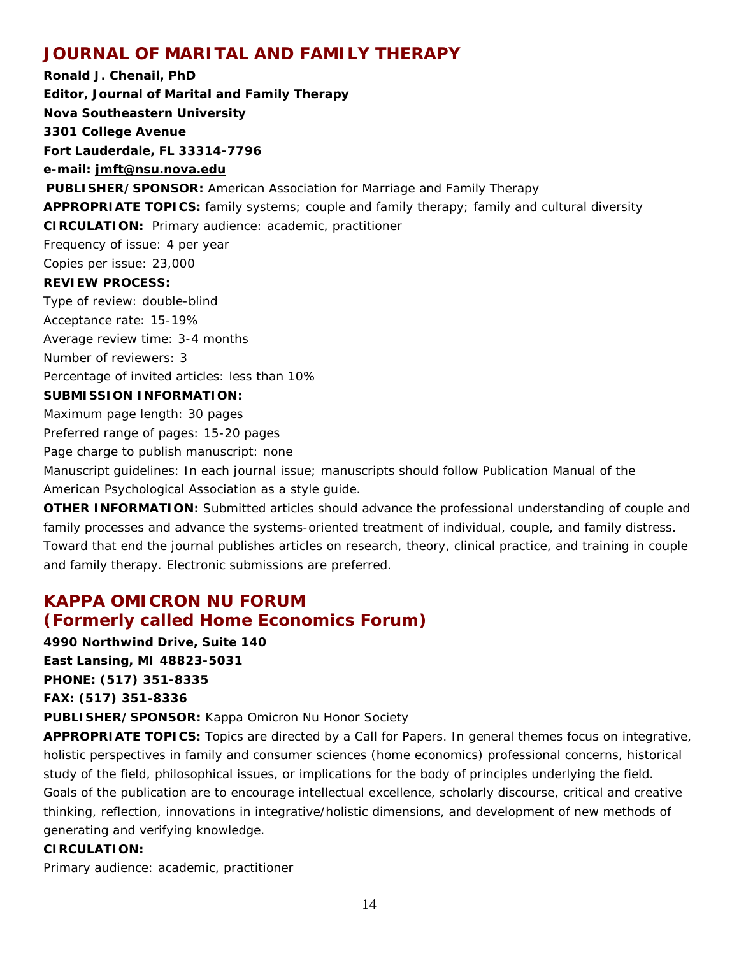# **JOURNAL OF MARITAL AND FAMILY THERAPY**

**Ronald J. Chenail, PhD Editor, Journal of Marital and Family Therapy Nova Southeastern University 3301 College Avenue Fort Lauderdale, FL 33314-7796 e-mail: [jmft@nsu.nova.edu](mailto:jmft@nsu.nova.edu) PUBLISHER/SPONSOR:** American Association for Marriage and Family Therapy **APPROPRIATE TOPICS:** family systems; couple and family therapy; family and cultural diversity **CIRCULATION:** Primary audience: academic, practitioner Frequency of issue: 4 per year Copies per issue: 23,000 **REVIEW PROCESS:** Type of review: double-blind Acceptance rate: 15-19% Average review time: 3-4 months Number of reviewers: 3 Percentage of invited articles: less than 10% **SUBMISSION INFORMATION:** Maximum page length: 30 pages Preferred range of pages: 15-20 pages Page charge to publish manuscript: none Manuscript guidelines: In each journal issue; manuscripts should follow *Publication Manual of the American Psychological Association* as a style guide.

**OTHER INFORMATION:** Submitted articles should advance the professional understanding of couple and family processes and advance the systems-oriented treatment of individual, couple, and family distress. Toward that end the journal publishes articles on research, theory, clinical practice, and training in couple and family therapy. Electronic submissions are preferred.

# **KAPPA OMICRON NU FORUM (Formerly called Home Economics Forum)**

**4990 Northwind Drive, Suite 140 East Lansing, MI 48823-5031 PHONE: (517) 351-8335**

**FAX: (517) 351-8336**

**PUBLISHER/SPONSOR:** Kappa Omicron Nu Honor Society

**APPROPRIATE TOPICS:** Topics are directed by a Call for Papers. In general themes focus on integrative, holistic perspectives in family and consumer sciences (home economics) professional concerns, historical study of the field, philosophical issues, or implications for the body of principles underlying the field. Goals of the publication are to encourage intellectual excellence, scholarly discourse, critical and creative thinking, reflection, innovations in integrative/holistic dimensions, and development of new methods of generating and verifying knowledge.

### **CIRCULATION:**

Primary audience: academic, practitioner